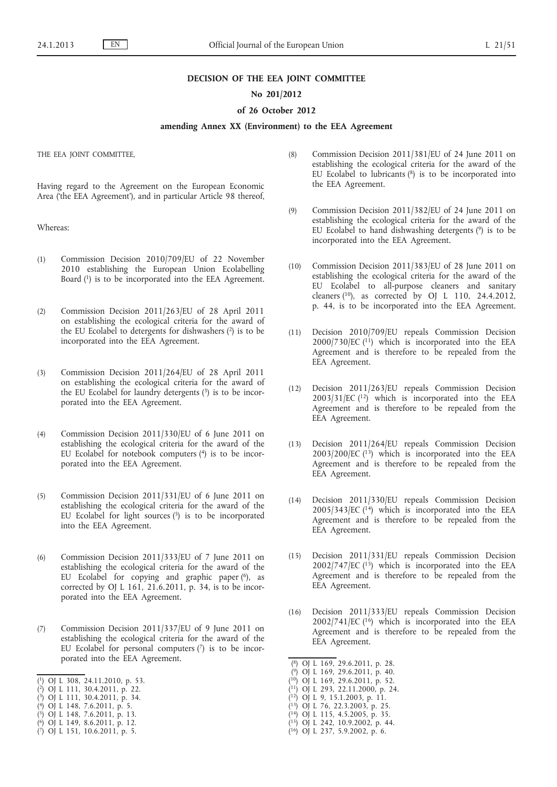#### **DECISION OF THE EEA JOINT COMMITTEE**

## **No 201/2012**

#### **of 26 October 2012**

# **amending Annex XX (Environment) to the EEA Agreement**

THE EEA JOINT COMMITTEE,

Having regard to the Agreement on the European Economic Area ('the EEA Agreement'), and in particular Article 98 thereof,

Whereas:

- (1) Commission Decision 2010/709/EU of 22 November 2010 establishing the European Union Ecolabelling Board (1) is to be incorporated into the EEA Agreement.
- (2) Commission Decision 2011/263/EU of 28 April 2011 on establishing the ecological criteria for the award of the EU Ecolabel to detergents for dishwashers (2) is to be incorporated into the EEA Agreement.
- (3) Commission Decision 2011/264/EU of 28 April 2011 on establishing the ecological criteria for the award of the EU Ecolabel for laundry detergents (3) is to be incorporated into the EEA Agreement.
- (4) Commission Decision 2011/330/EU of 6 June 2011 on establishing the ecological criteria for the award of the EU Ecolabel for notebook computers (4) is to be incorporated into the EEA Agreement.
- (5) Commission Decision 2011/331/EU of 6 June 2011 on establishing the ecological criteria for the award of the EU Ecolabel for light sources (5) is to be incorporated into the EEA Agreement.
- (6) Commission Decision 2011/333/EU of 7 June 2011 on establishing the ecological criteria for the award of the EU Ecolabel for copying and graphic paper (6), as corrected by OJ L 161, 21.6.2011, p. 34, is to be incorporated into the EEA Agreement.
- (7) Commission Decision 2011/337/EU of 9 June 2011 on establishing the ecological criteria for the award of the EU Ecolabel for personal computers  $(7)$  is to be incorporated into the EEA Agreement.
- ( 1) OJ L 308, 24.11.2010, p. 53.
- ( 2) OJ L 111, 30.4.2011, p. 22.
- ( 3) OJ L 111, 30.4.2011, p. 34.
- ( 4) OJ L 148, 7.6.2011, p. 5.
- ( 5) OJ L 148, 7.6.2011, p. 13. ( 6) OJ L 149, 8.6.2011, p. 12.
- ( 7) OJ L 151, 10.6.2011, p. 5.
- (8) Commission Decision 2011/381/EU of 24 June 2011 on establishing the ecological criteria for the award of the EU Ecolabel to lubricants  $(^{8})$  is to be incorporated into the EEA Agreement.
- (9) Commission Decision 2011/382/EU of 24 June 2011 on establishing the ecological criteria for the award of the EU Ecolabel to hand dishwashing detergents (9) is to be incorporated into the EEA Agreement.
- (10) Commission Decision 2011/383/EU of 28 June 2011 on establishing the ecological criteria for the award of the EU Ecolabel to all-purpose cleaners and sanitary cleaners  $(10)$ , as corrected by OJ L 110, 24.4.2012, p. 44, is to be incorporated into the EEA Agreement.
- (11) Decision 2010/709/EU repeals Commission Decision  $2000/730$ /EC (11) which is incorporated into the EEA Agreement and is therefore to be repealed from the EEA Agreement.
- (12) Decision 2011/263/EU repeals Commission Decision  $2003/31/EC$  ( $^{12}$ ) which is incorporated into the EEA Agreement and is therefore to be repealed from the EEA Agreement.
- (13) Decision 2011/264/EU repeals Commission Decision  $2003/200$ /EC ( $13$ ) which is incorporated into the EEA Agreement and is therefore to be repealed from the EEA Agreement.
- (14) Decision 2011/330/EU repeals Commission Decision 2005/343/EC (14) which is incorporated into the EEA Agreement and is therefore to be repealed from the EEA Agreement.
- (15) Decision 2011/331/EU repeals Commission Decision  $2002/747/EC$  (<sup>15</sup>) which is incorporated into the EEA Agreement and is therefore to be repealed from the EEA Agreement.
- (16) Decision 2011/333/EU repeals Commission Decision  $2002/741$ /EC (<sup>16</sup>) which is incorporated into the EEA Agreement and is therefore to be repealed from the EEA Agreement.

- ( 9) OJ L 169, 29.6.2011, p. 40.
- ( 10) OJ L 169, 29.6.2011, p. 52.
- ( 11) OJ L 293, 22.11.2000, p. 24.
- ( 12) OJ L 9, 15.1.2003, p. 11.
- ( 13) OJ L 76, 22.3.2003, p. 25.
- ( 14) OJ L 115, 4.5.2005, p. 35.
- ( 15) OJ L 242, 10.9.2002, p. 44.
- ( 16) OJ L 237, 5.9.2002, p. 6.

<sup>(</sup> 8) OJ L 169, 29.6.2011, p. 28.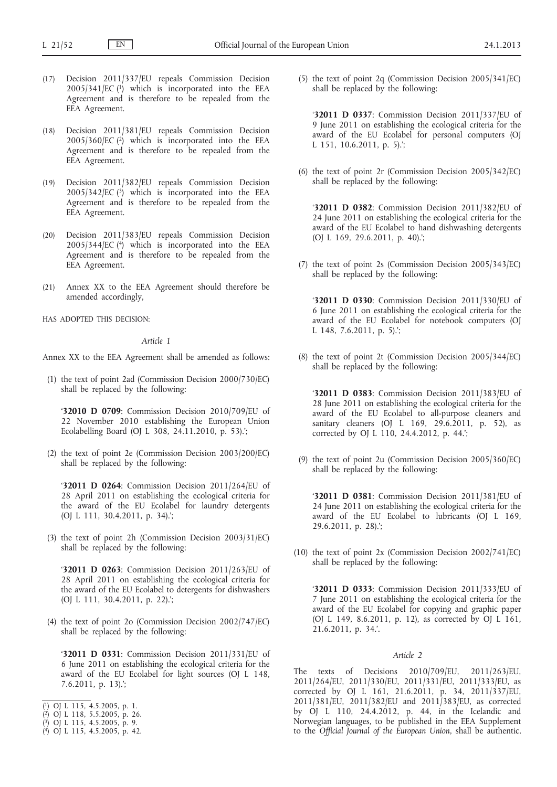- (17) Decision 2011/337/EU repeals Commission Decision 2005/341/EC (1) which is incorporated into the EEA Agreement and is therefore to be repealed from the EEA Agreement.
- (18) Decision 2011/381/EU repeals Commission Decision 2005/360/EC (2) which is incorporated into the EEA Agreement and is therefore to be repealed from the EEA Agreement.
- (19) Decision 2011/382/EU repeals Commission Decision  $2005/342/EC$  (3) which is incorporated into the EEA Agreement and is therefore to be repealed from the EEA Agreement.
- (20) Decision 2011/383/EU repeals Commission Decision 2005/344/EC (4) which is incorporated into the EEA Agreement and is therefore to be repealed from the EEA Agreement.
- (21) Annex XX to the EEA Agreement should therefore be amended accordingly,
- HAS ADOPTED THIS DECISION:

### *Article 1*

Annex XX to the EEA Agreement shall be amended as follows:

(1) the text of point 2ad (Commission Decision 2000/730/EC) shall be replaced by the following:

'**32010 D 0709**: Commission Decision 2010/709/EU of 22 November 2010 establishing the European Union Ecolabelling Board (OJ L 308, 24.11.2010, p. 53).';

(2) the text of point 2e (Commission Decision 2003/200/EC) shall be replaced by the following:

'**32011 D 0264**: Commission Decision 2011/264/EU of 28 April 2011 on establishing the ecological criteria for the award of the EU Ecolabel for laundry detergents (OJ L 111, 30.4.2011, p. 34).';

(3) the text of point 2h (Commission Decision 2003/31/EC) shall be replaced by the following:

'**32011 D 0263**: Commission Decision 2011/263/EU of 28 April 2011 on establishing the ecological criteria for the award of the EU Ecolabel to detergents for dishwashers (OJ L 111, 30.4.2011, p. 22).';

(4) the text of point 2o (Commission Decision 2002/747/EC) shall be replaced by the following:

'**32011 D 0331**: Commission Decision 2011/331/EU of 6 June 2011 on establishing the ecological criteria for the award of the EU Ecolabel for light sources (OJ L 148, 7.6.2011, p. 13).';

- ( 1) OJ L 115, 4.5.2005, p. 1.
- ( 2) OJ L 118, 5.5.2005, p. 26.
- ( 3) OJ L 115, 4.5.2005, p. 9.
- ( 4) OJ L 115, 4.5.2005, p. 42.

(5) the text of point 2q (Commission Decision 2005/341/EC) shall be replaced by the following:

'**32011 D 0337**: Commission Decision 2011/337/EU of 9 June 2011 on establishing the ecological criteria for the award of the EU Ecolabel for personal computers (OJ L 151, 10.6.2011, p. 5).';

(6) the text of point 2r (Commission Decision 2005/342/EC) shall be replaced by the following:

'**32011 D 0382**: Commission Decision 2011/382/EU of 24 June 2011 on establishing the ecological criteria for the award of the EU Ecolabel to hand dishwashing detergents (OJ L 169, 29.6.2011, p. 40).';

(7) the text of point 2s (Commission Decision 2005/343/EC) shall be replaced by the following:

'**32011 D 0330**: Commission Decision 2011/330/EU of 6 June 2011 on establishing the ecological criteria for the award of the EU Ecolabel for notebook computers (OJ L 148, 7.6.2011, p. 5).';

(8) the text of point 2t (Commission Decision 2005/344/EC) shall be replaced by the following:

'**32011 D 0383**: Commission Decision 2011/383/EU of 28 June 2011 on establishing the ecological criteria for the award of the EU Ecolabel to all-purpose cleaners and sanitary cleaners (OJ L 169, 29.6.2011, p. 52), as corrected by OJ L 110, 24.4.2012, p. 44.';

(9) the text of point 2u (Commission Decision 2005/360/EC) shall be replaced by the following:

'**32011 D 0381**: Commission Decision 2011/381/EU of 24 June 2011 on establishing the ecological criteria for the award of the EU Ecolabel to lubricants (OJ L 169, 29.6.2011, p. 28).';

(10) the text of point 2x (Commission Decision 2002/741/EC) shall be replaced by the following:

'**32011 D 0333**: Commission Decision 2011/333/EU of 7 June 2011 on establishing the ecological criteria for the award of the EU Ecolabel for copying and graphic paper (OJ L 149, 8.6.2011, p. 12), as corrected by OJ L 161, 21.6.2011, p. 34.'.

#### *Article 2*

The texts of Decisions 2010/709/EU, 2011/263/EU, 2011/264/EU, 2011/330/EU, 2011/331/EU, 2011/333/EU, as corrected by OJ L 161, 21.6.2011, p. 34, 2011/337/EU, 2011/381/EU, 2011/382/EU and 2011/383/EU, as corrected by OJ L 110, 24.4.2012, p. 44, in the Icelandic and Norwegian languages, to be published in the EEA Supplement to the *Official Journal of the European Union*, shall be authentic.